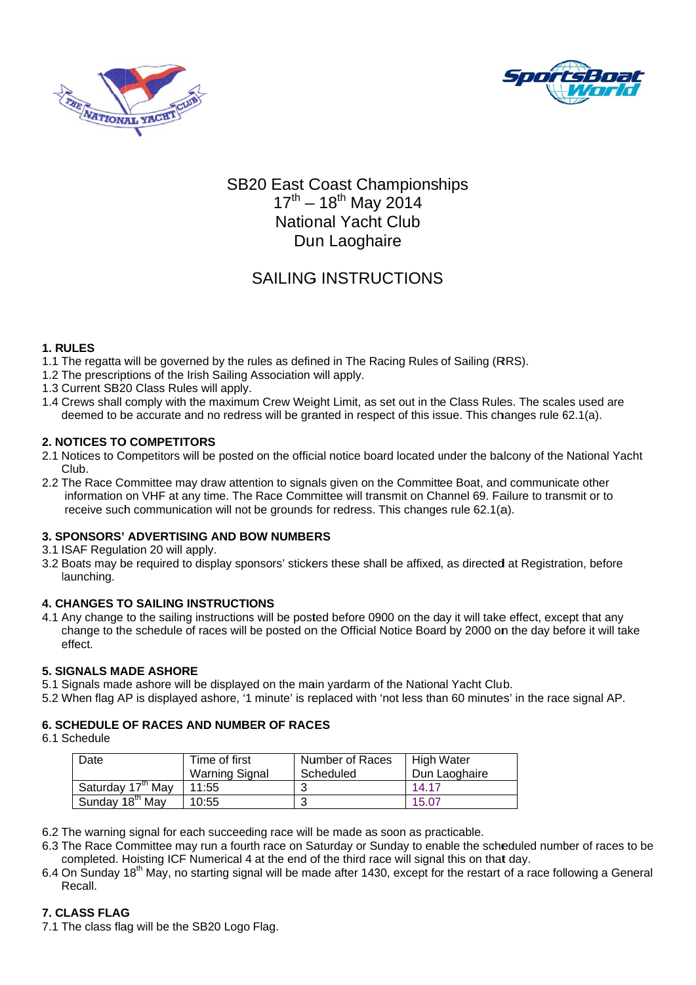



# SB20 East Coast Championships<br>17<sup>th</sup> – 18<sup>th</sup> May 2014 **National Yacht Club** Dun Laoghaire

# **SAILING INSTRUCTIONS**

# 1. RULES

- 1.1 The regatta will be governed by the rules as defined in The Racing Rules of Sailing (RRS).
- 1.2 The prescriptions of the Irish Sailing Association will apply.
- 1.3 Current SB20 Class Rules will apply.
- 1.4 Crews shall comply with the maximum Crew Weight Limit, as set out in the Class Rules. The scales used are deemed to be accurate and no redress will be granted in respect of this issue. This changes rule 62.1(a).

#### **2. NOTICES TO COMPETITORS**

- 2.1 Notices to Competitors will be posted on the official notice board located under the balcony of the National Yacht Club.
- 2.2 The Race Committee may draw attention to signals given on the Committee Boat, and communicate other information on VHF at any time. The Race Committee will transmit on Channel 69. Failure to transmit or to receive such communication will not be grounds for redress. This changes rule 62.1(a).

#### **3. SPONSORS' ADVERTISING AND BOW NUMBERS**

3.1 ISAF Regulation 20 will apply.

3.2 Boats may be required to display sponsors' stickers these shall be affixed, as directed at Registration, before launching.

#### **4. CHANGES TO SAILING INSTRUCTIONS**

4.1 Any change to the sailing instructions will be posted before 0900 on the day it will take effect, except that any change to the schedule of races will be posted on the Official Notice Board by 2000 on the day before it will take effect.

#### **5. SIGNALS MADE ASHORE**

- 5.1 Signals made ashore will be displayed on the main yardarm of the National Yacht Club.
- 5.2 When flag AP is displayed ashore, '1 minute' is replaced with 'not less than 60 minutes' in the race signal AP.

#### **6. SCHEDULE OF RACES AND NUMBER OF RACES**

6.1 Schedule

| Date                          | Time of first<br><b>Warning Signal</b> | Number of Races<br>Scheduled | <b>High Water</b><br>Dun Laoghaire |
|-------------------------------|----------------------------------------|------------------------------|------------------------------------|
| Saturday 17 <sup>th</sup> May | 11:55                                  | ົ                            | 14.17                              |
| Sunday 18 <sup>th</sup> May   | 10:55                                  |                              | 15.07                              |

- 6.2 The warning signal for each succeeding race will be made as soon as practicable.
- 6.3 The Race Committee may run a fourth race on Saturday or Sunday to enable the scheduled number of races to be completed. Hoisting ICF Numerical 4 at the end of the third race will signal this on that day.
- 6.4 On Sunday 18<sup>th</sup> May, no starting signal will be made after 1430, except for the restart of a race following a General Recall.

# **7. CLASS FLAG**

7.1 The class flag will be the SB20 Logo Flag.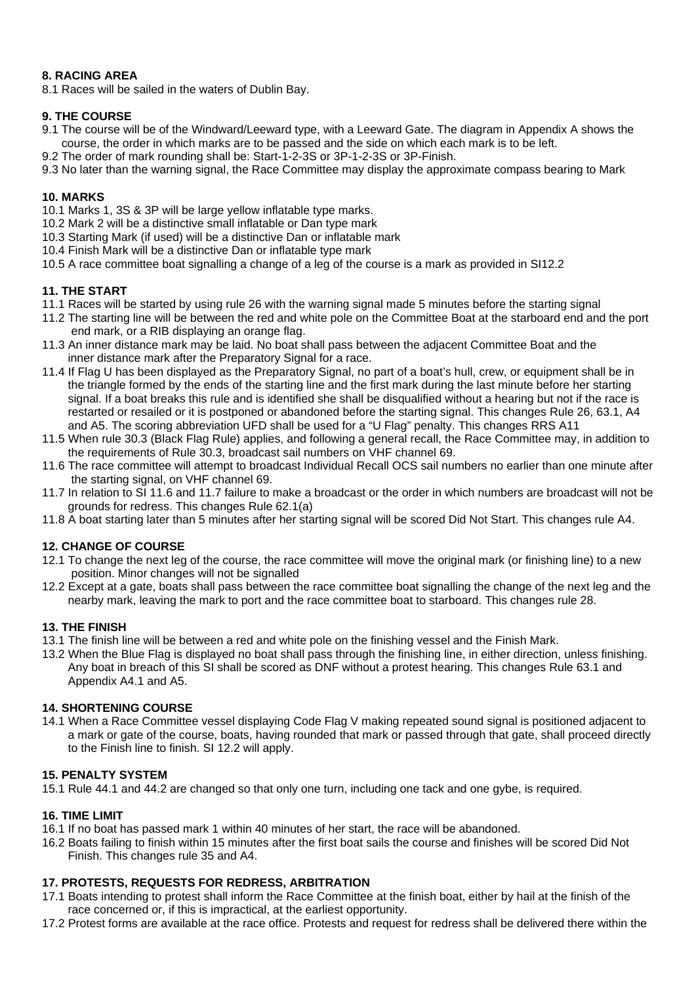# **8. RACING AREA**

8.1 Races will be sailed in the waters of Dublin Bay.

#### **9. THE COURSE**

- 9.1 The course will be of the Windward/Leeward type, with a Leeward Gate. The diagram in Appendix A shows the course, the order in which marks are to be passed and the side on which each mark is to be left.
- 9.2 The order of mark rounding shall be: Start-1-2-3S or 3P-1-2-3S or 3P-Finish.
- 9.3 No later than the warning signal, the Race Committee may display the approximate compass bearing to Mark

#### **10. MARKS**

- 10.1 Marks 1, 3S & 3P will be large yellow inflatable type marks.
- 10.2 Mark 2 will be a distinctive small inflatable or Dan type mark
- 10.3 Starting Mark (if used) will be a distinctive Dan or inflatable mark
- 10.4 Finish Mark will be a distinctive Dan or inflatable type mark
- 10.5 A race committee boat signalling a change of a leg of the course is a mark as provided in SI12.2

#### **11. THE START**

- 11.1 Races will be started by using rule 26 with the warning signal made 5 minutes before the starting signal
- 11.2 The starting line will be between the red and white pole on the Committee Boat at the starboard end and the port end mark, or a RIB displaying an orange flag.
- 11.3 An inner distance mark may be laid. No boat shall pass between the adjacent Committee Boat and the inner distance mark after the Preparatory Signal for a race.
- 11.4 If Flag U has been displayed as the Preparatory Signal, no part of a boat's hull, crew, or equipment shall be in the triangle formed by the ends of the starting line and the first mark during the last minute before her starting signal. If a boat breaks this rule and is identified she shall be disqualified without a hearing but not if the race is restarted or resailed or it is postponed or abandoned before the starting signal. This changes Rule 26, 63.1, A4 and A5. The scoring abbreviation UFD shall be used for a "U Flag" penalty. This changes RRS A11
- 11.5 When rule 30.3 (Black Flag Rule) applies, and following a general recall, the Race Committee may, in addition to the requirements of Rule 30.3, broadcast sail numbers on VHF channel 69.
- 11.6 The race committee will attempt to broadcast Individual Recall OCS sail numbers no earlier than one minute after the starting signal, on VHF channel 69.
- 11.7 In relation to SI 11.6 and 11.7 failure to make a broadcast or the order in which numbers are broadcast will not be grounds for redress. This changes Rule 62.1(a)
- 11.8 A boat starting later than 5 minutes after her starting signal will be scored Did Not Start. This changes rule A4.

#### **12. CHANGE OF COURSE**

- 12.1 To change the next leg of the course, the race committee will move the original mark (or finishing line) to a new position. Minor changes will not be signalled
- 12.2 Except at a gate, boats shall pass between the race committee boat signalling the change of the next leg and the nearby mark, leaving the mark to port and the race committee boat to starboard. This changes rule 28.

#### **13. THE FINISH**

- 13.1 The finish line will be between a red and white pole on the finishing vessel and the Finish Mark.
- 13.2 When the Blue Flag is displayed no boat shall pass through the finishing line, in either direction, unless finishing. Any boat in breach of this SI shall be scored as DNF without a protest hearing. This changes Rule 63.1 and Appendix A4.1 and A5.

#### **14. SHORTENING COURSE**

14.1 When a Race Committee vessel displaying Code Flag V making repeated sound signal is positioned adjacent to a mark or gate of the course, boats, having rounded that mark or passed through that gate, shall proceed directly to the Finish line to finish. SI 12.2 will apply.

#### **15. PENALTY SYSTEM**

15.1 Rule 44.1 and 44.2 are changed so that only one turn, including one tack and one gybe, is required.

#### **16. TIME LIMIT**

- 16.1 If no boat has passed mark 1 within 40 minutes of her start, the race will be abandoned.
- 16.2 Boats failing to finish within 15 minutes after the first boat sails the course and finishes will be scored Did Not Finish. This changes rule 35 and A4.

#### **17. PROTESTS, REQUESTS FOR REDRESS, ARBITRATION**

- 17.1 Boats intending to protest shall inform the Race Committee at the finish boat, either by hail at the finish of the race concerned or, if this is impractical, at the earliest opportunity.
- 17.2 Protest forms are available at the race office. Protests and request for redress shall be delivered there within the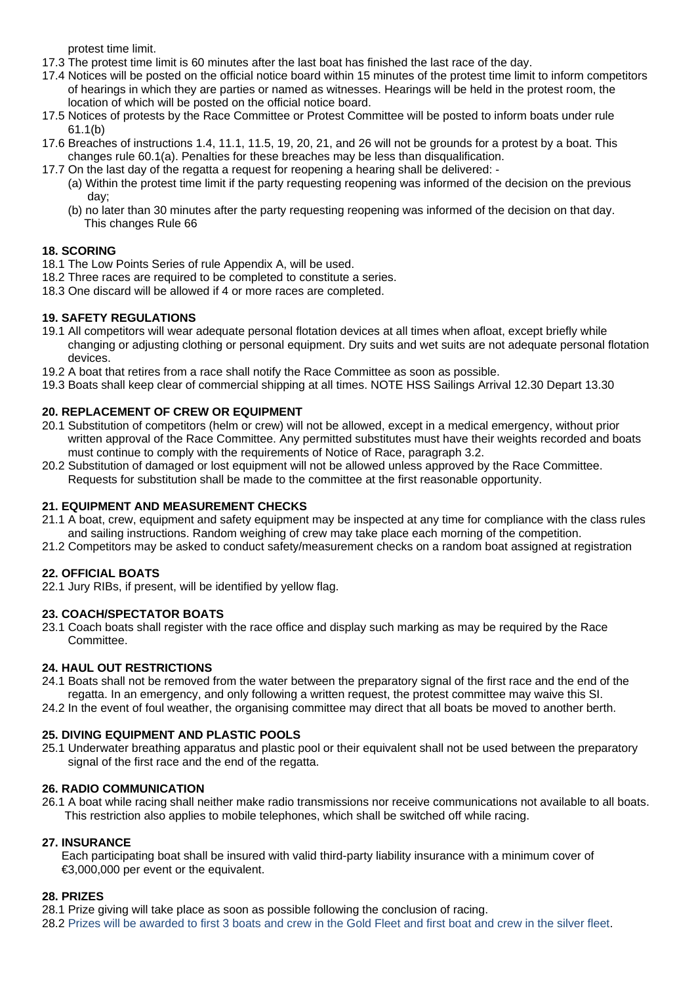protest time limit.

- 17.3 The protest time limit is 60 minutes after the last boat has finished the last race of the day.
- 17.4 Notices will be posted on the official notice board within 15 minutes of the protest time limit to inform competitors of hearings in which they are parties or named as witnesses. Hearings will be held in the protest room, the location of which will be posted on the official notice board.
- 17.5 Notices of protests by the Race Committee or Protest Committee will be posted to inform boats under rule 61.1(b)
- 17.6 Breaches of instructions 1.4, 11.1, 11.5, 19, 20, 21, and 26 will not be grounds for a protest by a boat. This changes rule 60.1(a). Penalties for these breaches may be less than disqualification.
- 17.7 On the last day of the regatta a request for reopening a hearing shall be delivered:
	- (a) Within the protest time limit if the party requesting reopening was informed of the decision on the previous day;
	- (b) no later than 30 minutes after the party requesting reopening was informed of the decision on that day. This changes Rule 66

#### **18. SCORING**

- 18.1 The Low Points Series of rule Appendix A, will be used.
- 18.2 Three races are required to be completed to constitute a series.
- 18.3 One discard will be allowed if 4 or more races are completed.

#### **19. SAFETY REGULATIONS**

- 19.1 All competitors will wear adequate personal flotation devices at all times when afloat, except briefly while changing or adjusting clothing or personal equipment. Dry suits and wet suits are not adequate personal flotation devices.
- 19.2 A boat that retires from a race shall notify the Race Committee as soon as possible.
- 19.3 Boats shall keep clear of commercial shipping at all times. NOTE HSS Sailings Arrival 12.30 Depart 13.30

#### **20. REPLACEMENT OF CREW OR EQUIPMENT**

- 20.1 Substitution of competitors (helm or crew) will not be allowed, except in a medical emergency, without prior written approval of the Race Committee. Any permitted substitutes must have their weights recorded and boats must continue to comply with the requirements of Notice of Race, paragraph 3.2.
- 20.2 Substitution of damaged or lost equipment will not be allowed unless approved by the Race Committee. Requests for substitution shall be made to the committee at the first reasonable opportunity.

#### **21. EQUIPMENT AND MEASUREMENT CHECKS**

- 21.1 A boat, crew, equipment and safety equipment may be inspected at any time for compliance with the class rules and sailing instructions. Random weighing of crew may take place each morning of the competition.
- 21.2 Competitors may be asked to conduct safety/measurement checks on a random boat assigned at registration

# **22. OFFICIAL BOATS**

22.1 Jury RIBs, if present, will be identified by yellow flag.

#### **23. COACH/SPECTATOR BOATS**

23.1 Coach boats shall register with the race office and display such marking as may be required by the Race Committee.

#### **24. HAUL OUT RESTRICTIONS**

- 24.1 Boats shall not be removed from the water between the preparatory signal of the first race and the end of the regatta. In an emergency, and only following a written request, the protest committee may waive this SI.
- 24.2 In the event of foul weather, the organising committee may direct that all boats be moved to another berth.

#### **25. DIVING EQUIPMENT AND PLASTIC POOLS**

25.1 Underwater breathing apparatus and plastic pool or their equivalent shall not be used between the preparatory signal of the first race and the end of the regatta.

#### **26. RADIO COMMUNICATION**

26.1 A boat while racing shall neither make radio transmissions nor receive communications not available to all boats. This restriction also applies to mobile telephones, which shall be switched off while racing.

#### **27. INSURANCE**

 Each participating boat shall be insured with valid third-party liability insurance with a minimum cover of €3,000,000 per event or the equivalent.

#### **28. PRIZES**

- 28.1 Prize giving will take place as soon as possible following the conclusion of racing.
- 28.2 Prizes will be awarded to first 3 boats and crew in the Gold Fleet and first boat and crew in the silver fleet.